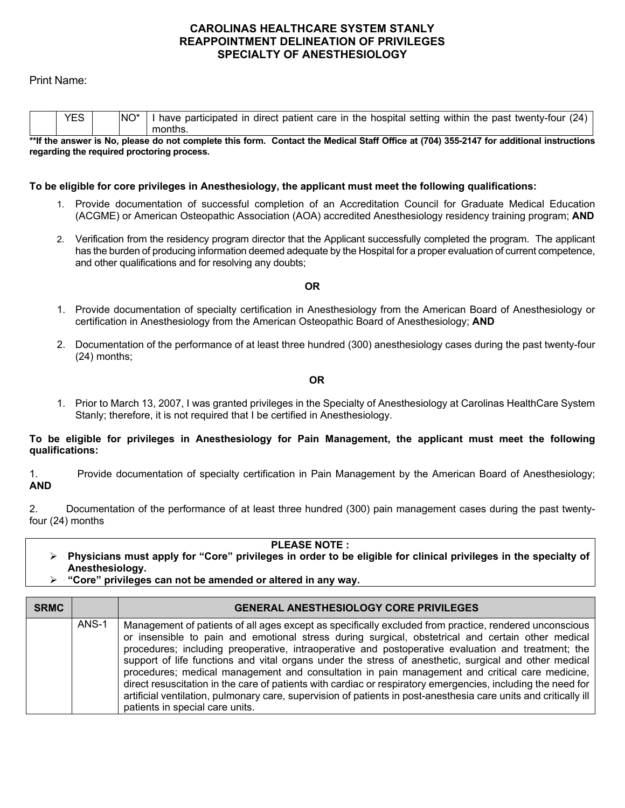## **CAROLINAS HEALTHCARE SYSTEM STANLY REAPPOINTMENT DELINEATION OF PRIVILEGES SPECIALTY OF ANESTHESIOLOGY**

## Print Name:

|   | $V =$ | INO <sup>*</sup> | have    | participated in direct patient care in the hospital setting within the past twenty-four |  |        |   |   |  | (24) |
|---|-------|------------------|---------|-----------------------------------------------------------------------------------------|--|--------|---|---|--|------|
|   |       |                  | months. |                                                                                         |  |        |   |   |  |      |
| . |       |                  |         |                                                                                         |  | --- -- | . | . |  |      |

**\*\*If the answer is No, please do not complete this form. Contact the Medical Staff Office at (704) 355-2147 for additional instructions regarding the required proctoring process.** 

### **To be eligible for core privileges in Anesthesiology, the applicant must meet the following qualifications:**

- 1. Provide documentation of successful completion of an Accreditation Council for Graduate Medical Education (ACGME) or American Osteopathic Association (AOA) accredited Anesthesiology residency training program; **AND**
- 2. Verification from the residency program director that the Applicant successfully completed the program. The applicant has the burden of producing information deemed adequate by the Hospital for a proper evaluation of current competence, and other qualifications and for resolving any doubts;

## **OR**

- 1. Provide documentation of specialty certification in Anesthesiology from the American Board of Anesthesiology or certification in Anesthesiology from the American Osteopathic Board of Anesthesiology; **AND**
- 2. Documentation of the performance of at least three hundred (300) anesthesiology cases during the past twenty-four (24) months;

### **OR**

1. Prior to March 13, 2007, I was granted privileges in the Specialty of Anesthesiology at Carolinas HealthCare System Stanly; therefore, it is not required that I be certified in Anesthesiology.

**To be eligible for privileges in Anesthesiology for Pain Management, the applicant must meet the following qualifications:** 

1. Provide documentation of specialty certification in Pain Management by the American Board of Anesthesiology; **AND**

2. Documentation of the performance of at least three hundred (300) pain management cases during the past twentyfour (24) months

**PLEASE NOTE :** 

- **Physicians must apply for "Core" privileges in order to be eligible for clinical privileges in the specialty of Anesthesiology.**
- **"Core" privileges can not be amended or altered in any way.**

| <b>SRMC</b> |       | <b>GENERAL ANESTHESIOLOGY CORE PRIVILEGES</b>                                                                                                                                                                                                                                                                                                                                                                                                                                                                                                                                                                                                                                                                                                                                                       |
|-------------|-------|-----------------------------------------------------------------------------------------------------------------------------------------------------------------------------------------------------------------------------------------------------------------------------------------------------------------------------------------------------------------------------------------------------------------------------------------------------------------------------------------------------------------------------------------------------------------------------------------------------------------------------------------------------------------------------------------------------------------------------------------------------------------------------------------------------|
|             | ANS-1 | Management of patients of all ages except as specifically excluded from practice, rendered unconscious<br>or insensible to pain and emotional stress during surgical, obstetrical and certain other medical<br>procedures; including preoperative, intraoperative and postoperative evaluation and treatment; the<br>support of life functions and vital organs under the stress of anesthetic, surgical and other medical<br>procedures; medical management and consultation in pain management and critical care medicine,<br>direct resuscitation in the care of patients with cardiac or respiratory emergencies, including the need for<br>artificial ventilation, pulmonary care, supervision of patients in post-anesthesia care units and critically ill<br>patients in special care units. |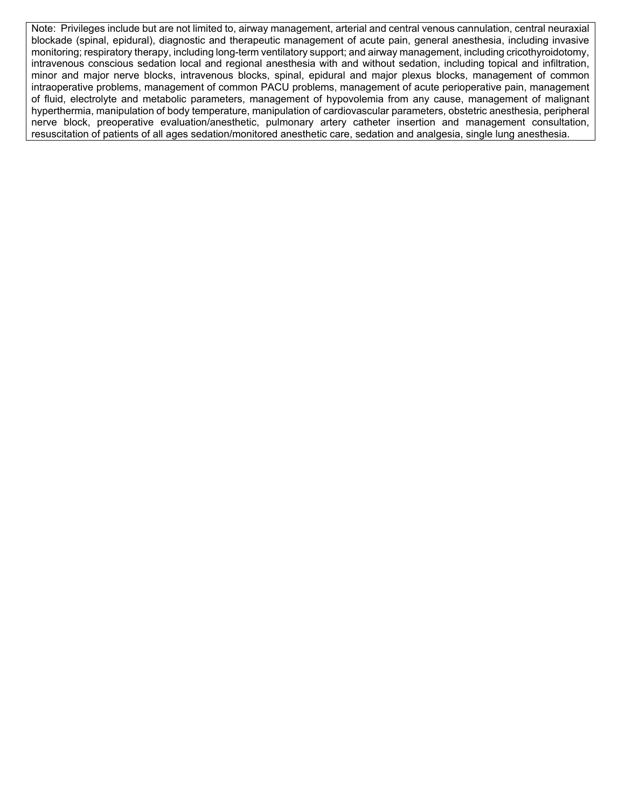Note: Privileges include but are not limited to, airway management, arterial and central venous cannulation, central neuraxial blockade (spinal, epidural), diagnostic and therapeutic management of acute pain, general anesthesia, including invasive monitoring; respiratory therapy, including long-term ventilatory support; and airway management, including cricothyroidotomy, intravenous conscious sedation local and regional anesthesia with and without sedation, including topical and infiltration, minor and major nerve blocks, intravenous blocks, spinal, epidural and major plexus blocks, management of common intraoperative problems, management of common PACU problems, management of acute perioperative pain, management of fluid, electrolyte and metabolic parameters, management of hypovolemia from any cause, management of malignant hyperthermia, manipulation of body temperature, manipulation of cardiovascular parameters, obstetric anesthesia, peripheral nerve block, preoperative evaluation/anesthetic, pulmonary artery catheter insertion and management consultation, resuscitation of patients of all ages sedation/monitored anesthetic care, sedation and analgesia, single lung anesthesia.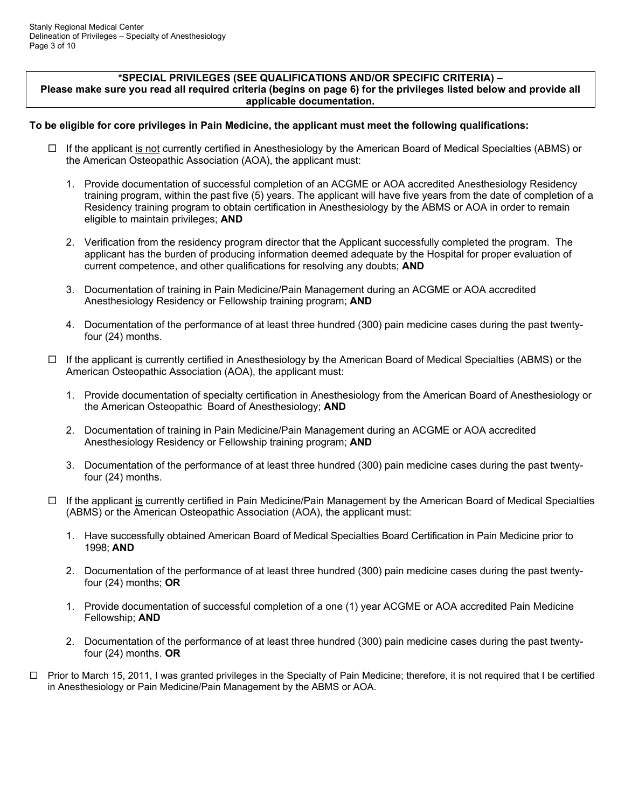#### **\*SPECIAL PRIVILEGES (SEE QUALIFICATIONS AND/OR SPECIFIC CRITERIA) – Please make sure you read all required criteria (begins on page 6) for the privileges listed below and provide all applicable documentation.**

## **To be eligible for core privileges in Pain Medicine, the applicant must meet the following qualifications:**

- $\Box$  If the applicant is not currently certified in Anesthesiology by the American Board of Medical Specialties (ABMS) or the American Osteopathic Association (AOA), the applicant must:
	- 1. Provide documentation of successful completion of an ACGME or AOA accredited Anesthesiology Residency training program, within the past five (5) years. The applicant will have five years from the date of completion of a Residency training program to obtain certification in Anesthesiology by the ABMS or AOA in order to remain eligible to maintain privileges; **AND**
	- 2. Verification from the residency program director that the Applicant successfully completed the program. The applicant has the burden of producing information deemed adequate by the Hospital for proper evaluation of current competence, and other qualifications for resolving any doubts; **AND**
	- 3. Documentation of training in Pain Medicine/Pain Management during an ACGME or AOA accredited Anesthesiology Residency or Fellowship training program; **AND**
	- 4. Documentation of the performance of at least three hundred (300) pain medicine cases during the past twentyfour (24) months.
- $\Box$  If the applicant is currently certified in Anesthesiology by the American Board of Medical Specialties (ABMS) or the American Osteopathic Association (AOA), the applicant must:
	- 1. Provide documentation of specialty certification in Anesthesiology from the American Board of Anesthesiology or the American Osteopathic Board of Anesthesiology; **AND**
	- 2. Documentation of training in Pain Medicine/Pain Management during an ACGME or AOA accredited Anesthesiology Residency or Fellowship training program; **AND**
	- 3. Documentation of the performance of at least three hundred (300) pain medicine cases during the past twentyfour (24) months.
- $\Box$  If the applicant is currently certified in Pain Medicine/Pain Management by the American Board of Medical Specialties (ABMS) or the American Osteopathic Association (AOA), the applicant must:
	- 1. Have successfully obtained American Board of Medical Specialties Board Certification in Pain Medicine prior to 1998; **AND**
	- 2. Documentation of the performance of at least three hundred (300) pain medicine cases during the past twentyfour (24) months; **OR**
	- 1. Provide documentation of successful completion of a one (1) year ACGME or AOA accredited Pain Medicine Fellowship; **AND**
	- 2. Documentation of the performance of at least three hundred (300) pain medicine cases during the past twentyfour (24) months. **OR**
- □ Prior to March 15, 2011, I was granted privileges in the Specialty of Pain Medicine; therefore, it is not required that I be certified in Anesthesiology or Pain Medicine/Pain Management by the ABMS or AOA.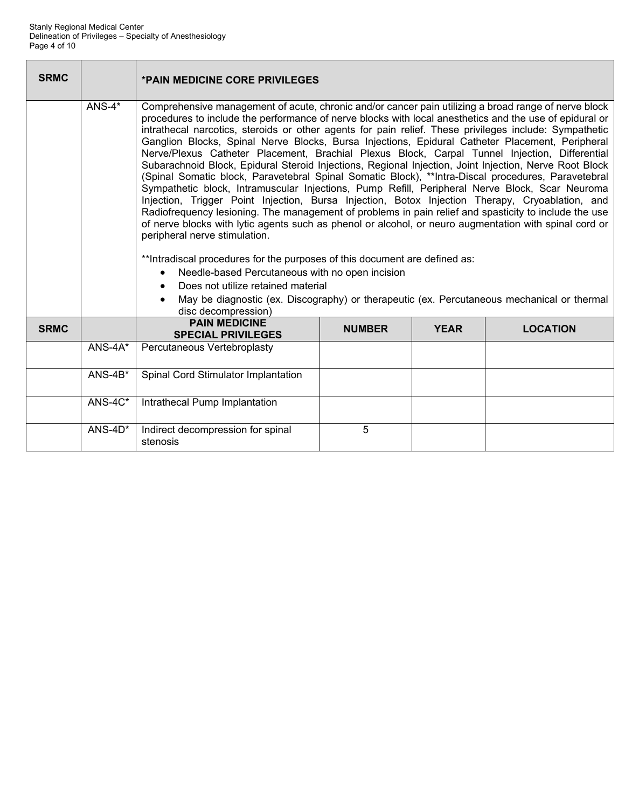| <b>SRMC</b> |            | <b>*PAIN MEDICINE CORE PRIVILEGES</b>                                                                                                                                                                                                                                                                                                                                                                                                                                                                                                                                                                                                                                                                                                                                                                                                                                                                                                                                                                                                                                                                                                                                                                                                                                                                                                                                                                                                                                        |               |             |                 |  |  |  |  |  |
|-------------|------------|------------------------------------------------------------------------------------------------------------------------------------------------------------------------------------------------------------------------------------------------------------------------------------------------------------------------------------------------------------------------------------------------------------------------------------------------------------------------------------------------------------------------------------------------------------------------------------------------------------------------------------------------------------------------------------------------------------------------------------------------------------------------------------------------------------------------------------------------------------------------------------------------------------------------------------------------------------------------------------------------------------------------------------------------------------------------------------------------------------------------------------------------------------------------------------------------------------------------------------------------------------------------------------------------------------------------------------------------------------------------------------------------------------------------------------------------------------------------------|---------------|-------------|-----------------|--|--|--|--|--|
|             | $ANS-4*$   | Comprehensive management of acute, chronic and/or cancer pain utilizing a broad range of nerve block<br>procedures to include the performance of nerve blocks with local anesthetics and the use of epidural or<br>intrathecal narcotics, steroids or other agents for pain relief. These privileges include: Sympathetic<br>Ganglion Blocks, Spinal Nerve Blocks, Bursa Injections, Epidural Catheter Placement, Peripheral<br>Nerve/Plexus Catheter Placement, Brachial Plexus Block, Carpal Tunnel Injection, Differential<br>Subarachnoid Block, Epidural Steroid Injections, Regional Injection, Joint Injection, Nerve Root Block<br>(Spinal Somatic block, Paravetebral Spinal Somatic Block), **Intra-Discal procedures, Paravetebral<br>Sympathetic block, Intramuscular Injections, Pump Refill, Peripheral Nerve Block, Scar Neuroma<br>Injection, Trigger Point Injection, Bursa Injection, Botox Injection Therapy, Cryoablation, and<br>Radiofrequency lesioning. The management of problems in pain relief and spasticity to include the use<br>of nerve blocks with lytic agents such as phenol or alcohol, or neuro augmentation with spinal cord or<br>peripheral nerve stimulation.<br>** Intradiscal procedures for the purposes of this document are defined as:<br>Needle-based Percutaneous with no open incision<br>Does not utilize retained material<br>May be diagnostic (ex. Discography) or therapeutic (ex. Percutaneous mechanical or thermal |               |             |                 |  |  |  |  |  |
| <b>SRMC</b> |            | <b>PAIN MEDICINE</b><br><b>SPECIAL PRIVILEGES</b>                                                                                                                                                                                                                                                                                                                                                                                                                                                                                                                                                                                                                                                                                                                                                                                                                                                                                                                                                                                                                                                                                                                                                                                                                                                                                                                                                                                                                            | <b>NUMBER</b> | <b>YEAR</b> | <b>LOCATION</b> |  |  |  |  |  |
|             | $ANS-4A*$  | Percutaneous Vertebroplasty                                                                                                                                                                                                                                                                                                                                                                                                                                                                                                                                                                                                                                                                                                                                                                                                                                                                                                                                                                                                                                                                                                                                                                                                                                                                                                                                                                                                                                                  |               |             |                 |  |  |  |  |  |
|             | $ANS-4B*$  | Spinal Cord Stimulator Implantation                                                                                                                                                                                                                                                                                                                                                                                                                                                                                                                                                                                                                                                                                                                                                                                                                                                                                                                                                                                                                                                                                                                                                                                                                                                                                                                                                                                                                                          |               |             |                 |  |  |  |  |  |
|             | $ANS-4C^*$ | Intrathecal Pump Implantation                                                                                                                                                                                                                                                                                                                                                                                                                                                                                                                                                                                                                                                                                                                                                                                                                                                                                                                                                                                                                                                                                                                                                                                                                                                                                                                                                                                                                                                |               |             |                 |  |  |  |  |  |
|             | $ANS-4D^*$ | Indirect decompression for spinal<br>stenosis                                                                                                                                                                                                                                                                                                                                                                                                                                                                                                                                                                                                                                                                                                                                                                                                                                                                                                                                                                                                                                                                                                                                                                                                                                                                                                                                                                                                                                | 5             |             |                 |  |  |  |  |  |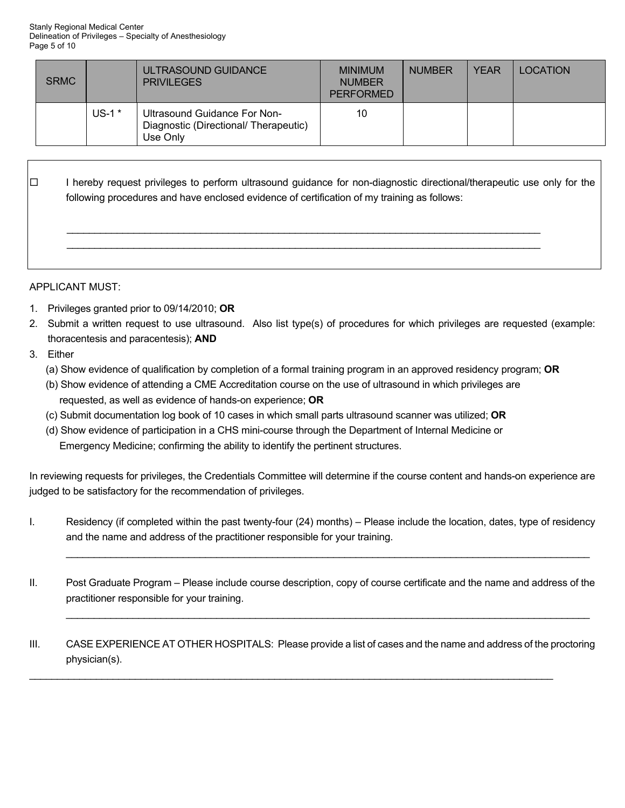| <b>SRMC</b> |          | ULTRASOUND GUIDANCE<br><b>PRIVILEGES</b>                                          | <b>MINIMUM</b><br><b>NUMBER</b><br><b>PERFORMED</b> | <b>NUMBER</b> | <b>YEAR</b> | <b>LOCATION</b> |
|-------------|----------|-----------------------------------------------------------------------------------|-----------------------------------------------------|---------------|-------------|-----------------|
|             | US-1 $*$ | Ultrasound Guidance For Non-<br>Diagnostic (Directional/ Therapeutic)<br>Use Only | 10                                                  |               |             |                 |

 $\Box$  I hereby request privileges to perform ultrasound quidance for non-diagnostic directional/therapeutic use only for the following procedures and have enclosed evidence of certification of my training as follows:

## APPLICANT MUST:

- 1. Privileges granted prior to 09/14/2010; **OR**
- 2. Submit a written request to use ultrasound. Also list type(s) of procedures for which privileges are requested (example: thoracentesis and paracentesis); **AND**
- 3. Either
	- (a) Show evidence of qualification by completion of a formal training program in an approved residency program; **OR**
	- (b) Show evidence of attending a CME Accreditation course on the use of ultrasound in which privileges are requested, as well as evidence of hands-on experience; **OR**

 \_\_\_\_\_\_\_\_\_\_\_\_\_\_\_\_\_\_\_\_\_\_\_\_\_\_\_\_\_\_\_\_\_\_\_\_\_\_\_\_\_\_\_\_\_\_\_\_\_\_\_\_\_\_\_\_\_\_\_\_\_\_\_\_\_\_\_\_\_\_\_\_\_\_\_\_\_\_\_\_\_\_\_\_\_ \_\_\_\_\_\_\_\_\_\_\_\_\_\_\_\_\_\_\_\_\_\_\_\_\_\_\_\_\_\_\_\_\_\_\_\_\_\_\_\_\_\_\_\_\_\_\_\_\_\_\_\_\_\_\_\_\_\_\_\_\_\_\_\_\_\_\_\_\_\_\_\_\_\_\_\_\_\_\_\_\_\_\_\_\_

- (c) Submit documentation log book of 10 cases in which small parts ultrasound scanner was utilized; **OR**
- (d) Show evidence of participation in a CHS mini-course through the Department of Internal Medicine or Emergency Medicine; confirming the ability to identify the pertinent structures.

In reviewing requests for privileges, the Credentials Committee will determine if the course content and hands-on experience are judged to be satisfactory for the recommendation of privileges.

- I. Residency (if completed within the past twenty-four (24) months) Please include the location, dates, type of residency and the name and address of the practitioner responsible for your training.
- II. Post Graduate Program Please include course description, copy of course certificate and the name and address of the practitioner responsible for your training.

 $\mathcal{L}_\mathcal{L} = \mathcal{L}_\mathcal{L} = \mathcal{L}_\mathcal{L} = \mathcal{L}_\mathcal{L} = \mathcal{L}_\mathcal{L} = \mathcal{L}_\mathcal{L} = \mathcal{L}_\mathcal{L} = \mathcal{L}_\mathcal{L} = \mathcal{L}_\mathcal{L} = \mathcal{L}_\mathcal{L} = \mathcal{L}_\mathcal{L} = \mathcal{L}_\mathcal{L} = \mathcal{L}_\mathcal{L} = \mathcal{L}_\mathcal{L} = \mathcal{L}_\mathcal{L} = \mathcal{L}_\mathcal{L} = \mathcal{L}_\mathcal{L}$ 

III. CASE EXPERIENCE AT OTHER HOSPITALS: Please provide a list of cases and the name and address of the proctoring physician(s).

\_\_\_\_\_\_\_\_\_\_\_\_\_\_\_\_\_\_\_\_\_\_\_\_\_\_\_\_\_\_\_\_\_\_\_\_\_\_\_\_\_\_\_\_\_\_\_\_\_\_\_\_\_\_\_\_\_\_\_\_\_\_\_\_\_\_\_\_\_\_\_\_\_\_\_\_\_\_\_\_\_\_\_\_\_\_\_\_\_\_\_\_\_\_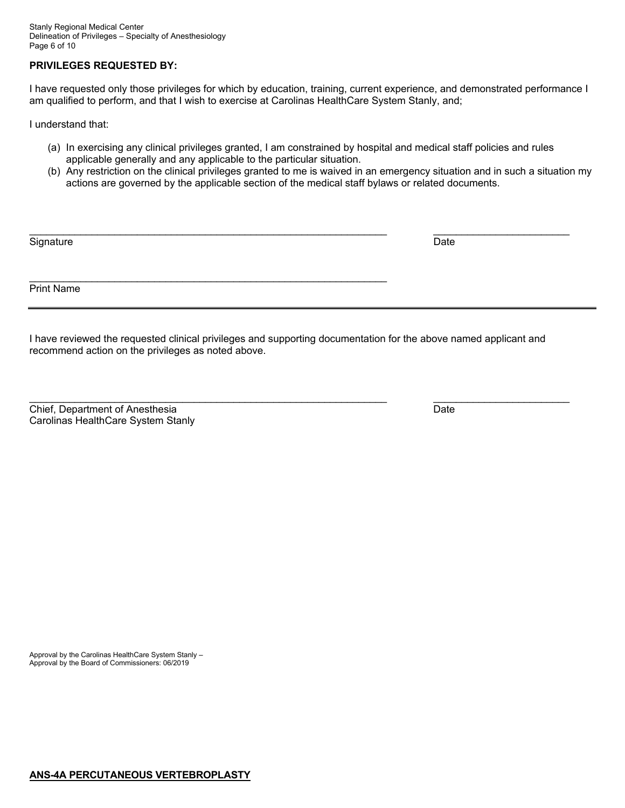## **PRIVILEGES REQUESTED BY:**

I have requested only those privileges for which by education, training, current experience, and demonstrated performance I am qualified to perform, and that I wish to exercise at Carolinas HealthCare System Stanly, and;

I understand that:

- (a) In exercising any clinical privileges granted, I am constrained by hospital and medical staff policies and rules applicable generally and any applicable to the particular situation.
- (b) Any restriction on the clinical privileges granted to me is waived in an emergency situation and in such a situation my actions are governed by the applicable section of the medical staff bylaws or related documents.

| Signature  | Date |  |
|------------|------|--|
| Print Name |      |  |

I have reviewed the requested clinical privileges and supporting documentation for the above named applicant and recommend action on the privileges as noted above.

\_\_\_\_\_\_\_\_\_\_\_\_\_\_\_\_\_\_\_\_\_\_\_\_\_\_\_\_\_\_\_\_\_\_\_\_\_\_\_\_\_\_\_\_\_\_\_\_\_\_\_\_\_\_\_\_\_\_\_\_\_\_\_ \_\_\_\_\_\_\_\_\_\_\_\_\_\_\_\_\_\_\_\_\_\_\_\_

Chief, Department of Anesthesia Date Carolinas HealthCare System Stanly

Approval by the Carolinas HealthCare System Stanly – Approval by the Board of Commissioners: 06/2019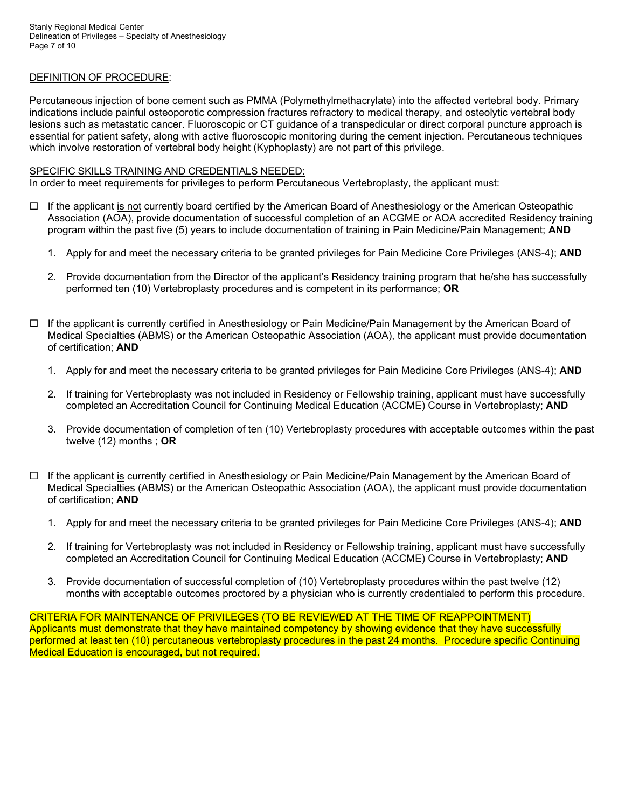## DEFINITION OF PROCEDURE:

Percutaneous injection of bone cement such as PMMA (Polymethylmethacrylate) into the affected vertebral body. Primary indications include painful osteoporotic compression fractures refractory to medical therapy, and osteolytic vertebral body lesions such as metastatic cancer. Fluoroscopic or CT guidance of a transpedicular or direct corporal puncture approach is essential for patient safety, along with active fluoroscopic monitoring during the cement injection. Percutaneous techniques which involve restoration of vertebral body height (Kyphoplasty) are not part of this privilege.

### SPECIFIC SKILLS TRAINING AND CREDENTIALS NEEDED:

In order to meet requirements for privileges to perform Percutaneous Vertebroplasty, the applicant must:

- $\Box$  If the applicant is not currently board certified by the American Board of Anesthesiology or the American Osteopathic Association (AOA), provide documentation of successful completion of an ACGME or AOA accredited Residency training program within the past five (5) years to include documentation of training in Pain Medicine/Pain Management; **AND** 
	- 1. Apply for and meet the necessary criteria to be granted privileges for Pain Medicine Core Privileges (ANS-4); **AND**
	- 2. Provide documentation from the Director of the applicant's Residency training program that he/she has successfully performed ten (10) Vertebroplasty procedures and is competent in its performance; **OR**
- $\Box$  If the applicant is currently certified in Anesthesiology or Pain Medicine/Pain Management by the American Board of Medical Specialties (ABMS) or the American Osteopathic Association (AOA), the applicant must provide documentation of certification; **AND**
	- 1. Apply for and meet the necessary criteria to be granted privileges for Pain Medicine Core Privileges (ANS-4); **AND**
	- 2. If training for Vertebroplasty was not included in Residency or Fellowship training, applicant must have successfully completed an Accreditation Council for Continuing Medical Education (ACCME) Course in Vertebroplasty; **AND**
	- 3. Provide documentation of completion of ten (10) Vertebroplasty procedures with acceptable outcomes within the past twelve (12) months ; **OR**
- $\Box$  If the applicant is currently certified in Anesthesiology or Pain Medicine/Pain Management by the American Board of Medical Specialties (ABMS) or the American Osteopathic Association (AOA), the applicant must provide documentation of certification; **AND**
	- 1. Apply for and meet the necessary criteria to be granted privileges for Pain Medicine Core Privileges (ANS-4); **AND**
	- 2. If training for Vertebroplasty was not included in Residency or Fellowship training, applicant must have successfully completed an Accreditation Council for Continuing Medical Education (ACCME) Course in Vertebroplasty; **AND**
	- 3. Provide documentation of successful completion of (10) Vertebroplasty procedures within the past twelve (12) months with acceptable outcomes proctored by a physician who is currently credentialed to perform this procedure.

CRITERIA FOR MAINTENANCE OF PRIVILEGES (TO BE REVIEWED AT THE TIME OF REAPPOINTMENT) Applicants must demonstrate that they have maintained competency by showing evidence that they have successfully performed at least ten (10) percutaneous vertebroplasty procedures in the past 24 months. Procedure specific Continuing Medical Education is encouraged, but not required.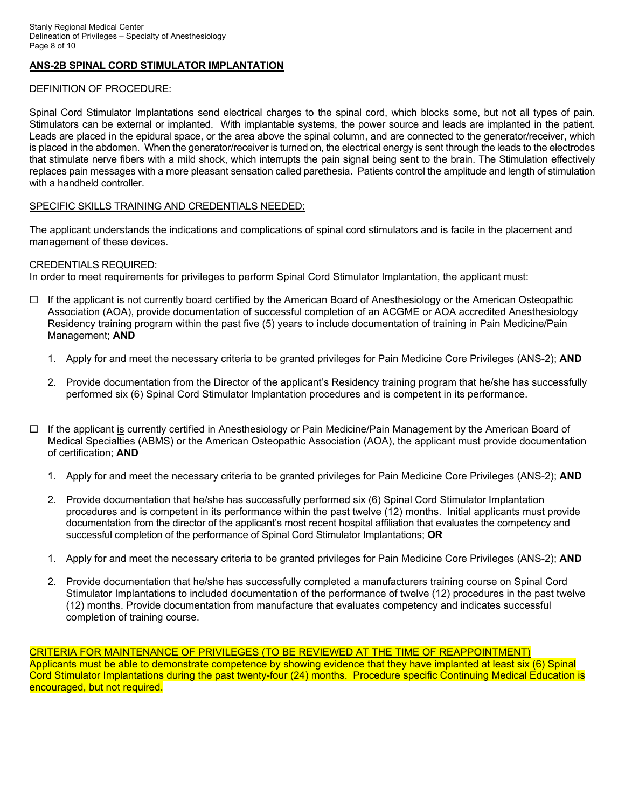# **ANS-2B SPINAL CORD STIMULATOR IMPLANTATION**

## DEFINITION OF PROCEDURE:

Spinal Cord Stimulator Implantations send electrical charges to the spinal cord, which blocks some, but not all types of pain. Stimulators can be external or implanted. With implantable systems, the power source and leads are implanted in the patient. Leads are placed in the epidural space, or the area above the spinal column, and are connected to the generator/receiver, which is placed in the abdomen. When the generator/receiver is turned on, the electrical energy is sent through the leads to the electrodes that stimulate nerve fibers with a mild shock, which interrupts the pain signal being sent to the brain. The Stimulation effectively replaces pain messages with a more pleasant sensation called parethesia. Patients control the amplitude and length of stimulation with a handheld controller.

# SPECIFIC SKILLS TRAINING AND CREDENTIALS NEEDED:

The applicant understands the indications and complications of spinal cord stimulators and is facile in the placement and management of these devices.

# CREDENTIALS REQUIRED:

In order to meet requirements for privileges to perform Spinal Cord Stimulator Implantation, the applicant must:

- $\Box$  If the applicant is not currently board certified by the American Board of Anesthesiology or the American Osteopathic Association (AOA), provide documentation of successful completion of an ACGME or AOA accredited Anesthesiology Residency training program within the past five (5) years to include documentation of training in Pain Medicine/Pain Management; **AND**
	- 1. Apply for and meet the necessary criteria to be granted privileges for Pain Medicine Core Privileges (ANS-2); **AND**
	- 2. Provide documentation from the Director of the applicant's Residency training program that he/she has successfully performed six (6) Spinal Cord Stimulator Implantation procedures and is competent in its performance.
- $\Box$  If the applicant is currently certified in Anesthesiology or Pain Medicine/Pain Management by the American Board of Medical Specialties (ABMS) or the American Osteopathic Association (AOA), the applicant must provide documentation of certification; **AND**
	- 1. Apply for and meet the necessary criteria to be granted privileges for Pain Medicine Core Privileges (ANS-2); **AND**
	- 2. Provide documentation that he/she has successfully performed six (6) Spinal Cord Stimulator Implantation procedures and is competent in its performance within the past twelve (12) months. Initial applicants must provide documentation from the director of the applicant's most recent hospital affiliation that evaluates the competency and successful completion of the performance of Spinal Cord Stimulator Implantations; **OR**
	- 1. Apply for and meet the necessary criteria to be granted privileges for Pain Medicine Core Privileges (ANS-2); **AND**
	- 2. Provide documentation that he/she has successfully completed a manufacturers training course on Spinal Cord Stimulator Implantations to included documentation of the performance of twelve (12) procedures in the past twelve (12) months. Provide documentation from manufacture that evaluates competency and indicates successful completion of training course.

CRITERIA FOR MAINTENANCE OF PRIVILEGES (TO BE REVIEWED AT THE TIME OF REAPPOINTMENT) Applicants must be able to demonstrate competence by showing evidence that they have implanted at least six (6) Spinal Cord Stimulator Implantations during the past twenty-four (24) months. Procedure specific Continuing Medical Education is encouraged, but not required.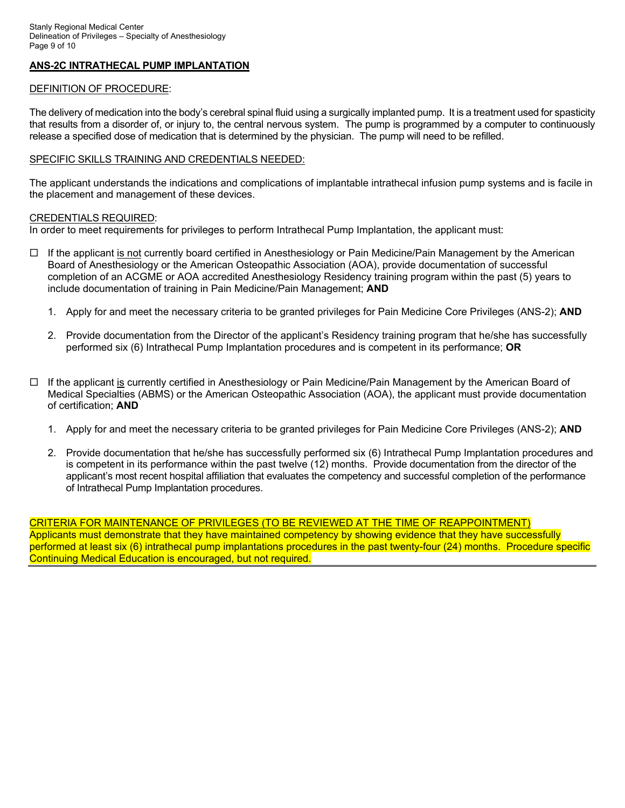## **ANS-2C INTRATHECAL PUMP IMPLANTATION**

## DEFINITION OF PROCEDURE:

The delivery of medication into the body's cerebral spinal fluid using a surgically implanted pump. It is a treatment used for spasticity that results from a disorder of, or injury to, the central nervous system. The pump is programmed by a computer to continuously release a specified dose of medication that is determined by the physician. The pump will need to be refilled.

### SPECIFIC SKILLS TRAINING AND CREDENTIALS NEEDED:

The applicant understands the indications and complications of implantable intrathecal infusion pump systems and is facile in the placement and management of these devices.

### CREDENTIALS REQUIRED:

In order to meet requirements for privileges to perform Intrathecal Pump Implantation, the applicant must:

- $\Box$  If the applicant is not currently board certified in Anesthesiology or Pain Medicine/Pain Management by the American Board of Anesthesiology or the American Osteopathic Association (AOA), provide documentation of successful completion of an ACGME or AOA accredited Anesthesiology Residency training program within the past (5) years to include documentation of training in Pain Medicine/Pain Management; **AND**
	- 1. Apply for and meet the necessary criteria to be granted privileges for Pain Medicine Core Privileges (ANS-2); **AND**
	- 2. Provide documentation from the Director of the applicant's Residency training program that he/she has successfully performed six (6) Intrathecal Pump Implantation procedures and is competent in its performance; **OR**
- □ If the applicant is currently certified in Anesthesiology or Pain Medicine/Pain Management by the American Board of Medical Specialties (ABMS) or the American Osteopathic Association (AOA), the applicant must provide documentation of certification; **AND**
	- 1. Apply for and meet the necessary criteria to be granted privileges for Pain Medicine Core Privileges (ANS-2); **AND**
	- 2. Provide documentation that he/she has successfully performed six (6) Intrathecal Pump Implantation procedures and is competent in its performance within the past twelve (12) months. Provide documentation from the director of the applicant's most recent hospital affiliation that evaluates the competency and successful completion of the performance of Intrathecal Pump Implantation procedures.

CRITERIA FOR MAINTENANCE OF PRIVILEGES (TO BE REVIEWED AT THE TIME OF REAPPOINTMENT) Applicants must demonstrate that they have maintained competency by showing evidence that they have successfully performed at least six (6) intrathecal pump implantations procedures in the past twenty-four (24) months. Procedure specific Continuing Medical Education is encouraged, but not required.